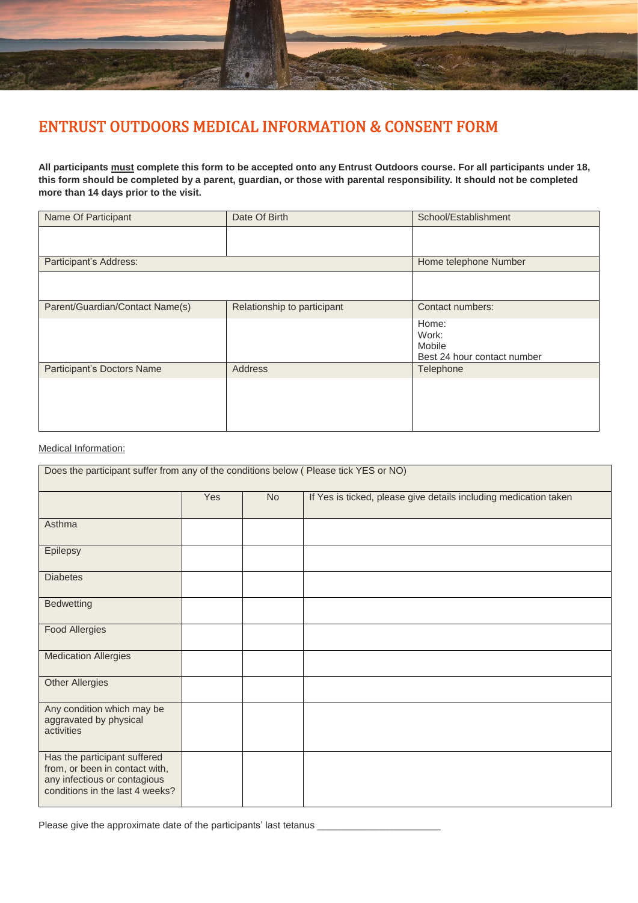

## ENTRUST OUTDOORS MEDICAL INFORMATION & CONSENT FORM

**All participants must complete this form to be accepted onto any Entrust Outdoors course. For all participants under 18, this form should be completed by a parent, guardian, or those with parental responsibility. It should not be completed more than 14 days prior to the visit.**

| Name Of Participant             | Date Of Birth               | School/Establishment                                    |
|---------------------------------|-----------------------------|---------------------------------------------------------|
|                                 |                             |                                                         |
| Participant's Address:          | Home telephone Number       |                                                         |
|                                 |                             |                                                         |
| Parent/Guardian/Contact Name(s) | Relationship to participant | Contact numbers:                                        |
|                                 |                             | Home:<br>Work:<br>Mobile<br>Best 24 hour contact number |
| Participant's Doctors Name      | Address                     | Telephone                                               |
|                                 |                             |                                                         |

## Medical Information:

| Does the participant suffer from any of the conditions below (Please tick YES or NO)                                              |     |           |                                                                  |  |  |
|-----------------------------------------------------------------------------------------------------------------------------------|-----|-----------|------------------------------------------------------------------|--|--|
|                                                                                                                                   | Yes | <b>No</b> | If Yes is ticked, please give details including medication taken |  |  |
| Asthma                                                                                                                            |     |           |                                                                  |  |  |
| Epilepsy                                                                                                                          |     |           |                                                                  |  |  |
| <b>Diabetes</b>                                                                                                                   |     |           |                                                                  |  |  |
| <b>Bedwetting</b>                                                                                                                 |     |           |                                                                  |  |  |
| <b>Food Allergies</b>                                                                                                             |     |           |                                                                  |  |  |
| <b>Medication Allergies</b>                                                                                                       |     |           |                                                                  |  |  |
| <b>Other Allergies</b>                                                                                                            |     |           |                                                                  |  |  |
| Any condition which may be<br>aggravated by physical<br>activities                                                                |     |           |                                                                  |  |  |
| Has the participant suffered<br>from, or been in contact with,<br>any infectious or contagious<br>conditions in the last 4 weeks? |     |           |                                                                  |  |  |

Please give the approximate date of the participants' last tetanus \_